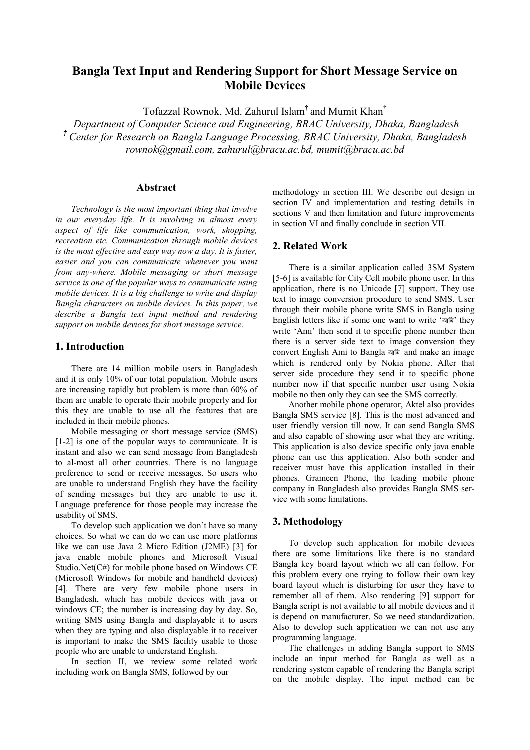# Bangla Text Input and Rendering Support for Short Message Service on Mobile Devices

Tofazzal Rownok, Md. Zahurul Islam† and Mumit Khan†

 Department of Computer Science and Engineering, BRAC University, Dhaka, Bangladesh † Center for Research on Bangla Language Processing, BRAC University, Dhaka, Bangladesh rownok@gmail.com, zahurul@bracu.ac.bd, mumit@bracu.ac.bd

#### Abstract

Technology is the most important thing that involve in our everyday life. It is involving in almost every aspect of life like communication, work, shopping, recreation etc. Communication through mobile devices is the most effective and easy way now a day. It is faster, easier and you can communicate whenever you want from any-where. Mobile messaging or short message service is one of the popular ways to communicate using mobile devices. It is a big challenge to write and display Bangla characters on mobile devices. In this paper, we describe a Bangla text input method and rendering support on mobile devices for short message service.

## 1. Introduction

There are 14 million mobile users in Bangladesh and it is only 10% of our total population. Mobile users are increasing rapidly but problem is more than 60% of them are unable to operate their mobile properly and for this they are unable to use all the features that are included in their mobile phones.

Mobile messaging or short message service (SMS) [1-2] is one of the popular ways to communicate. It is instant and also we can send message from Bangladesh to al-most all other countries. There is no language preference to send or receive messages. So users who are unable to understand English they have the facility of sending messages but they are unable to use it. Language preference for those people may increase the usability of SMS.

To develop such application we don't have so many choices. So what we can do we can use more platforms like we can use Java 2 Micro Edition (J2ME) [3] for java enable mobile phones and Microsoft Visual Studio.Net(C#) for mobile phone based on Windows CE (Microsoft Windows for mobile and handheld devices) [4]. There are very few mobile phone users in Bangladesh, which has mobile devices with java or windows CE; the number is increasing day by day. So, writing SMS using Bangla and displayable it to users when they are typing and also displayable it to receiver is important to make the SMS facility usable to those people who are unable to understand English.

In section II, we review some related work including work on Bangla SMS, followed by our

methodology in section III. We describe out design in section IV and implementation and testing details in sections V and then limitation and future improvements in section VI and finally conclude in section VII.

## 2. Related Work

There is a similar application called 3SM System [5-6] is available for City Cell mobile phone user. In this application, there is no Unicode [7] support. They use text to image conversion procedure to send SMS. User through their mobile phone write SMS in Bangla using English letters like if some one want to write 'जानि' they write 'Ami' then send it to specific phone number then there is a server side text to image conversion they convert English Ami to Bangla जानि and make an image which is rendered only by Nokia phone. After that server side procedure they send it to specific phone number now if that specific number user using Nokia mobile no then only they can see the SMS correctly.

Another mobile phone operator, Aktel also provides Bangla SMS service [8]. This is the most advanced and user friendly version till now. It can send Bangla SMS and also capable of showing user what they are writing. This application is also device specific only java enable phone can use this application. Also both sender and receiver must have this application installed in their phones. Grameen Phone, the leading mobile phone company in Bangladesh also provides Bangla SMS service with some limitations.

## 3. Methodology

To develop such application for mobile devices there are some limitations like there is no standard Bangla key board layout which we all can follow. For this problem every one trying to follow their own key board layout which is disturbing for user they have to remember all of them. Also rendering [9] support for Bangla script is not available to all mobile devices and it is depend on manufacturer. So we need standardization. Also to develop such application we can not use any programming language.

The challenges in adding Bangla support to SMS include an input method for Bangla as well as a rendering system capable of rendering the Bangla script on the mobile display. The input method can be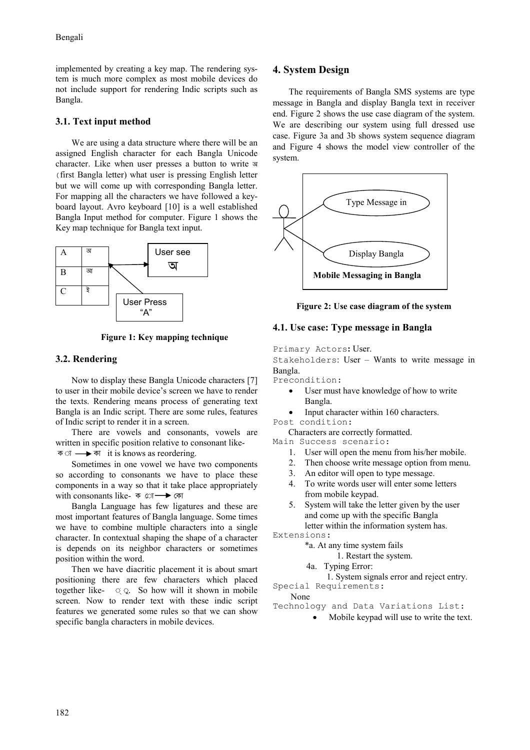implemented by creating a key map. The rendering system is much more complex as most mobile devices do not include support for rendering Indic scripts such as Bangla.

### 3.1. Text input method

We are using a data structure where there will be an assigned English character for each Bangla Unicode character. Like when user presses a button to write (first Bangla letter) what user is pressing English letter but we will come up with corresponding Bangla letter. For mapping all the characters we have followed a keyboard layout. Avro keyboard [10] is a well established Bangla Input method for computer. Figure 1 shows the Key map technique for Bangla text input.



Figure 1: Key mapping technique

#### 3.2. Rendering

Now to display these Bangla Unicode characters [7] to user in their mobile device's screen we have to render the texts. Rendering means process of generating text Bangla is an Indic script. There are some rules, features of Indic script to render it in a screen.

There are vowels and consonants, vowels are written in specific position relative to consonant like- क*ा* → का it is knows as reordering.

Sometimes in one vowel we have two components so according to consonants we have to place these components in a way so that it take place appropriately with consonants like- क ा—→ का

Bangla Language has few ligatures and these are most important features of Bangla language. Some times we have to combine multiple characters into a single character. In contextual shaping the shape of a character is depends on its neighbor characters or sometimes position within the word.

Then we have diacritic placement it is about smart positioning there are few characters which placed together like-  $\circ$   $\circ$ . So how will it shown in mobile screen. Now to render text with these indic script features we generated some rules so that we can show specific bangla characters in mobile devices.

## 4. System Design

The requirements of Bangla SMS systems are type message in Bangla and display Bangla text in receiver end. Figure 2 shows the use case diagram of the system. We are describing our system using full dressed use case. Figure 3a and 3b shows system sequence diagram and Figure 4 shows the model view controller of the system.



Figure 2: Use case diagram of the system

### 4.1. Use case: Type message in Bangla

```
Primary Actors: User.
```
Stakeholders: User – Wants to write message in Bangla.

Precondition:

- User must have knowledge of how to write Bangla.
- Input character within 160 characters.

Post condition:

Characters are correctly formatted.

Main Success scenario:

- 1. User will open the menu from his/her mobile.
- 2. Then choose write message option from menu.
- 3. An editor will open to type message.
- 4. To write words user will enter some letters from mobile keypad.
- 5. System will take the letter given by the user and come up with the specific Bangla letter within the information system has.

Extensions:

- \*a. At any time system fails
	- 1. Restart the system.
- 4a. Typing Error:

 1. System signals error and reject entry. Special Requirements:

None

- Technology and Data Variations List:
	- Mobile keypad will use to write the text.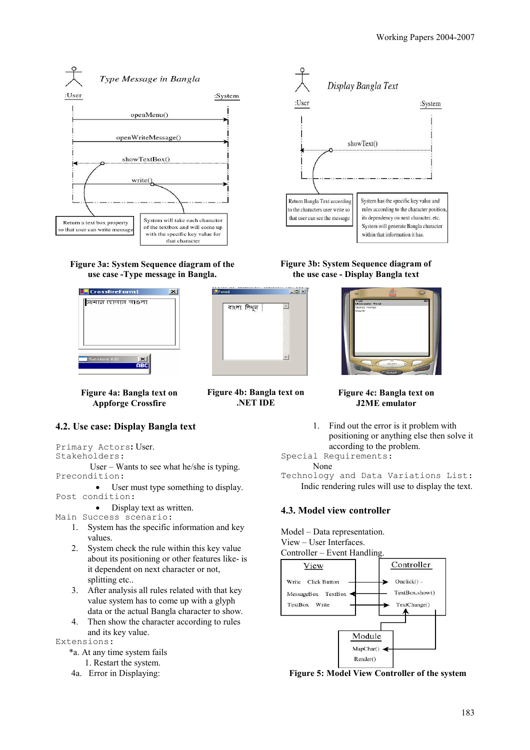

## Figure 3a: System Sequence diagram of the use case -Type message in Bangla.



Figure 4a: Bangla text on Appforge Crossfire

## 4.2. Use case: Display Bangla text

Primary Actors: User. Stakeholders:

 User – Wants to see what he/she is typing. Precondition:

User must type something to display. Post condition:

- Display text as written.
- Main Success scenario:
	- 1. System has the specific information and key values.
	- 2. System check the rule within this key value about its positioning or other features like- is it dependent on next character or not, splitting etc..
	- 3. After analysis all rules related with that key value system has to come up with a glyph data or the actual Bangla character to show.
	- 4. Then show the character according to rules and its key value.

#### Extensions:

- \*a. At any time system fails
	- 1. Restart the system.
- 4a. Error in Displaying:



Figure 3b: System Sequence diagram of the use case - Display Bangla text



#### Figure 4c: Bangla text on J2ME emulator

1. Find out the error is it problem with positioning or anything else then solve it according to the problem.

Special Requirements:

None

 $-10x$ 

 $\vert$   $\vert$ 

 $\overline{\phantom{a}}$ 

Figure 4b: Bangla text on .NET IDE

বাংলা লিথুন

Technology and Data Variations List: Indic rendering rules will use to display the text.

## 4.3. Model view controller

Model – Data representation. View – User Interfaces. Controller – Event Handling.



Figure 5: Model View Controller of the system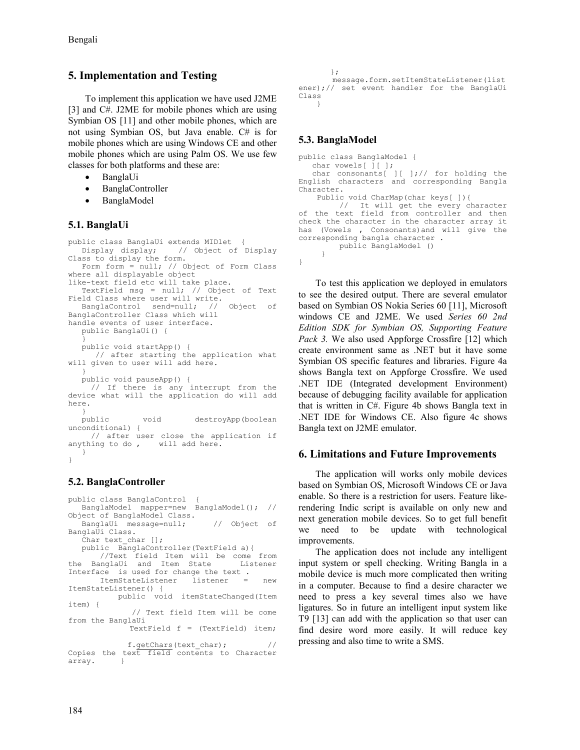## 5. Implementation and Testing

To implement this application we have used J2ME [3] and C#. J2ME for mobile phones which are using Symbian OS [11] and other mobile phones, which are not using Symbian OS, but Java enable. C# is for mobile phones which are using Windows CE and other mobile phones which are using Palm OS. We use few classes for both platforms and these are:

- BanglaUi
- BanglaController
- BanglaModel

## 5.1. BanglaUi

```
public class BanglaUi extends MIDlet<br>Display display; // Object of
                       // Object of Display
Class to display the form. 
    Form form = null; // Object of Form Class 
where all displayable object 
like-text field etc will take place. 
   TextField msq = null; \frac{1}{2} Object of Text
Field Class where user will write. 
    BanglaControl send=null; // Object of 
BanglaController Class which will 
handle events of user interface. 
   public BanglaUi() { 
 } 
   public void startApp() { 
      // after starting the application what 
will given to user will add here. 
 } 
    public void pauseApp() { 
     // If there is any interrupt from the 
device what will the application do will add 
here. 
 } 
   public void destroyApp(boolean 
unconditional) { 
      // after user close the application if 
anything to do , will add here. 
   } 
}
```
## 5.2. BanglaController

```
public class BanglaControl {<br>BanglaModel mapper=new BanglaModel(); //
  BanglaModel mapper=new
Object of BanglaModel Class. 
   BanglaUi message=null; // Object of 
BanglaUi Class. 
   Char text char [];
   public BanglaController(TextField a){ 
 //Text field Item will be come from 
the BanglaUi and Item State Listener 
Interface is used for change the text.<br>ItemStateListener listener =
        ItemStateListener listener = new 
ItemStateListener() { 
            public void itemStateChanged(Item 
item) { 
               // Text field Item will be come 
from the BanglaUi 
               TextField f = (TextField) item; 
              f.getChars(text_char); // 
Copies the text field contents to Character 
array. }
```

```
 }; 
        message.form.setItemStateListener(list
ener);// set event handler for the BanglaUi
Class 
 }
```
## 5.3. BanglaModel

```
public class BanglaModel { 
  char vowels[ ][ ];
   char consonants[ ][ ];// for holding the 
English characters and corresponding Bangla 
Character. 
     Public void CharMap(char keys[ ]){ 
 // It will get the every character 
of the text field from controller and then 
check the character in the character array it 
has (Vowels , Consonants)and will give the 
corresponding bangla character . 
         public BanglaModel () 
     } 
}
```
To test this application we deployed in emulators to see the desired output. There are several emulator based on Symbian OS Nokia Series 60 [11], Microsoft windows CE and J2ME. We used Series 60 2nd Edition SDK for Symbian OS, Supporting Feature Pack 3. We also used Appforge Crossfire [12] which create environment same as .NET but it have some Symbian OS specific features and libraries. Figure 4a shows Bangla text on Appforge Crossfire. We used .NET IDE (Integrated development Environment) because of debugging facility available for application that is written in C#. Figure 4b shows Bangla text in .NET IDE for Windows CE. Also figure 4c shows Bangla text on J2ME emulator.

#### 6. Limitations and Future Improvements

The application will works only mobile devices based on Symbian OS, Microsoft Windows CE or Java enable. So there is a restriction for users. Feature likerendering Indic script is available on only new and next generation mobile devices. So to get full benefit we need to be update with technological improvements.

The application does not include any intelligent input system or spell checking. Writing Bangla in a mobile device is much more complicated then writing in a computer. Because to find a desire character we need to press a key several times also we have ligatures. So in future an intelligent input system like T9 [13] can add with the application so that user can find desire word more easily. It will reduce key pressing and also time to write a SMS.